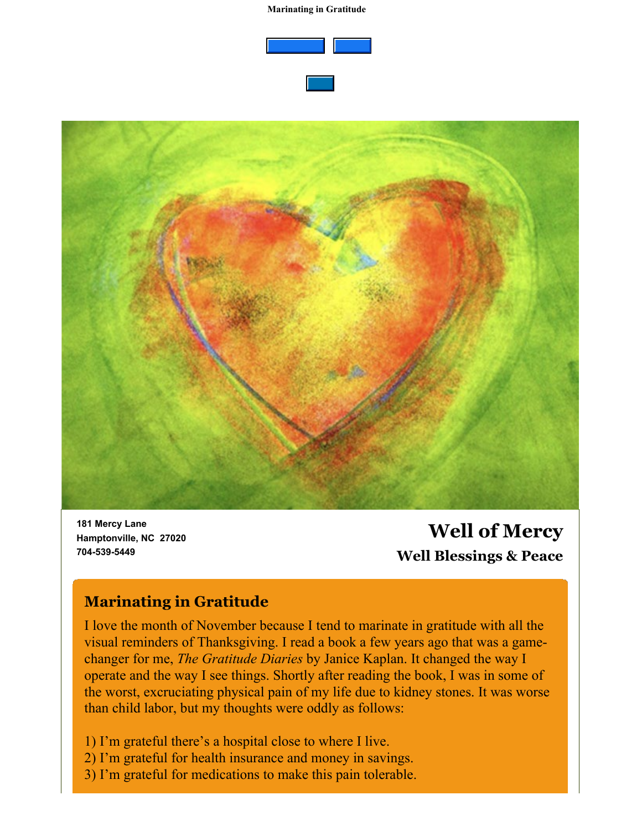#### **Marinating in Gratitude**





**181 Mercy Lane Hamptonville, NC 27020 704-539-5449**

# **Well of Mercy Well Blessings & Peace**

### **Marinating in Gratitude**

I love the month of November because I tend to marinate in gratitude with all the visual reminders of Thanksgiving. I read a book a few years ago that was a gamechanger for me, *The Gratitude Diaries* by Janice Kaplan. It changed the way I operate and the way I see things. Shortly after reading the book, I was in some of the worst, excruciating physical pain of my life due to kidney stones. It was worse than child labor, but my thoughts were oddly as follows:

1) I'm grateful there's a hospital close to where I live.

- 2) I'm grateful for health insurance and money in savings.
- 3) I'm grateful for medications to make this pain tolerable.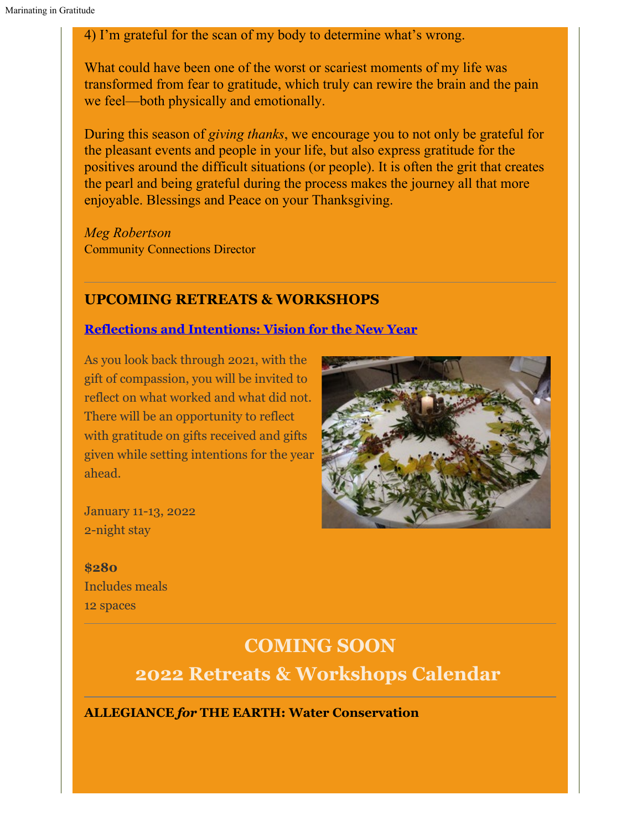#### 4) I'm grateful for the scan of my body to determine what's wrong.

What could have been one of the worst or scariest moments of my life was transformed from fear to gratitude, which truly can rewire the brain and the pain we feel—both physically and emotionally.

During this season of *giving thanks*, we encourage you to not only be grateful for the pleasant events and people in your life, but also express gratitude for the positives around the difficult situations (or people). It is often the grit that creates the pearl and being grateful during the process makes the journey all that more enjoyable. Blessings and Peace on your Thanksgiving.

*Meg Robertson* Community Connections Director

#### **UPCOMING RETREATS & WORKSHOPS**

#### **[Reflections and Intentions: Vision for the New Year](https://wellofmercy.networkforgood.com/events/36484-reflections-and-intentions-vision-for-the-new-year)**

As you look back through 2021, with the gift of compassion, you will be invited to reflect on what worked and what did not. There will be an opportunity to reflect with gratitude on gifts received and gifts given while setting intentions for the year ahead.



January 11-13, 2022 2-night stay

**\$280** Includes meals 12 spaces

# **COMING SOON**

**2022 Retreats & Workshops Calendar**

**ALLEGIANCE** *for* **THE EARTH: Water Conservation**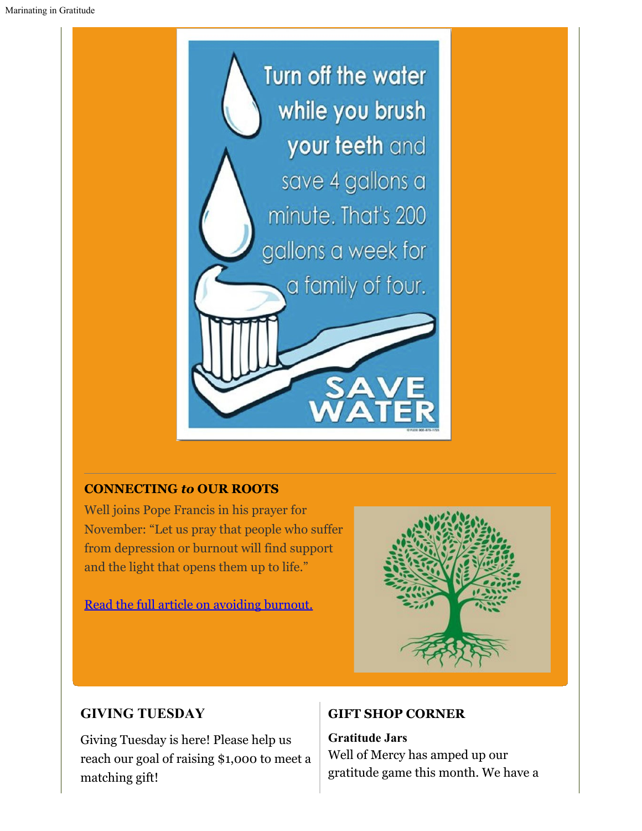

#### **CONNECTING** *to* **OUR ROOTS**

Well joins Pope Francis in his prayer for November: "Let us pray that people who suffer from depression or burnout will find support and the light that opens them up to life."

[Read the full article on avoiding burnout.](https://www.americamagazine.org/faith/2021/11/03/pope-prayer-burnout-depression-241777)



### **GIVING TUESDAY**

Giving Tuesday is here! Please help us reach our goal of raising \$1,000 to meet a matching gift!

#### **GIFT SHOP CORNER**

**Gratitude Jars** Well of Mercy has amped up our gratitude game this month. We have a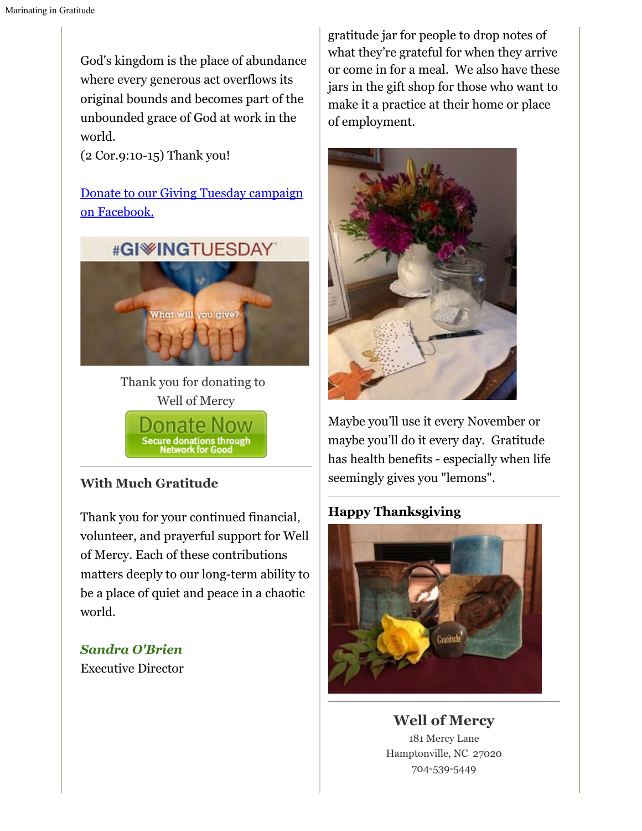God's kingdom is the place of abundance where every generous act overflows its original bounds and becomes part of the unbounded grace of God at work in the world.

(2 Cor.9:10-15) Thank you!

[Donate to our Giving Tuesday campaign](https://www.facebook.com/donate/1030684427498577/) [on Facebook.](https://www.facebook.com/donate/1030684427498577/)



Thank you for donating to Well of Mercy

ure donations through<br>Network for Good

#### **With Much Gratitude**

Thank you for your continued financial, volunteer, and prayerful support for Well of Mercy. Each of these contributions matters deeply to our long-term ability to be a place of quiet and peace in a chaotic world.

#### *Sandra O'Brien*

Executive Director

gratitude jar for people to drop notes of what they're grateful for when they arrive or come in for a meal. We also have these jars in the gift shop for those who want to make it a practice at their home or place of employment.



Maybe you'll use it every November or maybe you'll do it every day. Gratitude has health benefits - especially when life seemingly gives you "lemons".

## **Happy Thanksgiving**



**Well of Mercy** 181 Mercy Lane Hamptonville, NC 27020 704-539-5449